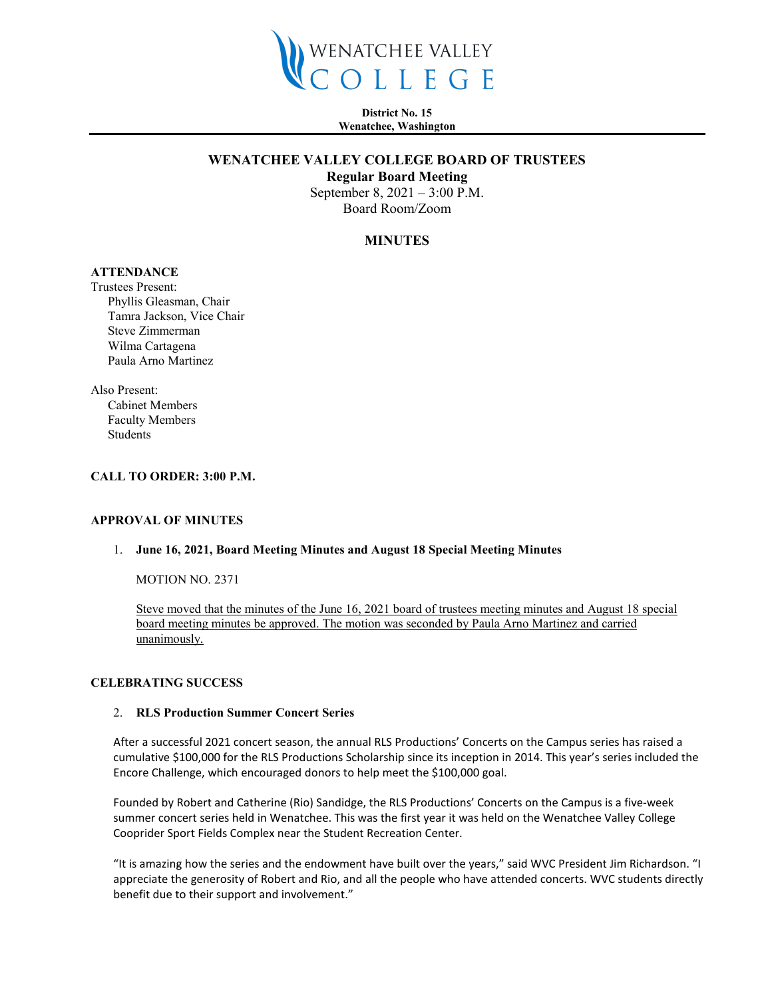

**District No. 15 Wenatchee, Washington**

## **WENATCHEE VALLEY COLLEGE BOARD OF TRUSTEES**

**Regular Board Meeting**

September 8, 2021 – 3:00 P.M. Board Room/Zoom

#### **MINUTES**

# **ATTENDANCE**

Trustees Present: Phyllis Gleasman, Chair Tamra Jackson, Vice Chair Steve Zimmerman Wilma Cartagena Paula Arno Martinez

Also Present: Cabinet Members Faculty Members Students

#### **CALL TO ORDER: 3:00 P.M.**

#### **APPROVAL OF MINUTES**

#### 1. **June 16, 2021, Board Meeting Minutes and August 18 Special Meeting Minutes**

MOTION NO. 2371

Steve moved that the minutes of the June 16, 2021 board of trustees meeting minutes and August 18 special board meeting minutes be approved. The motion was seconded by Paula Arno Martinez and carried unanimously.

#### **CELEBRATING SUCCESS**

#### 2. **RLS Production Summer Concert Series**

After a successful 2021 concert season, the annual RLS Productions' Concerts on the Campus series has raised a cumulative \$100,000 for the RLS Productions Scholarship since its inception in 2014. This year's series included the Encore Challenge, which encouraged donors to help meet the \$100,000 goal.

Founded by Robert and Catherine (Rio) Sandidge, the RLS Productions' Concerts on the Campus is a five-week summer concert series held in Wenatchee. This was the first year it was held on the Wenatchee Valley College Cooprider Sport Fields Complex near the Student Recreation Center.

"It is amazing how the series and the endowment have built over the years," said WVC President Jim Richardson. "I appreciate the generosity of Robert and Rio, and all the people who have attended concerts. WVC students directly benefit due to their support and involvement."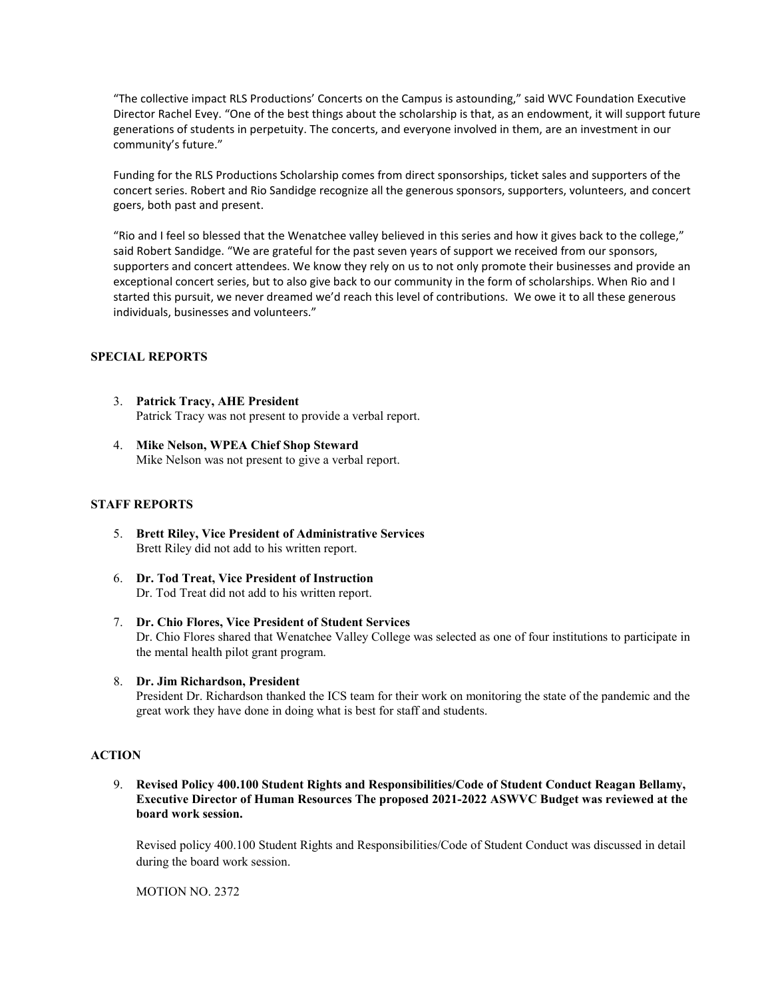"The collective impact RLS Productions' Concerts on the Campus is astounding," said WVC Foundation Executive Director Rachel Evey. "One of the best things about the scholarship is that, as an endowment, it will support future generations of students in perpetuity. The concerts, and everyone involved in them, are an investment in our community's future."

Funding for the RLS Productions Scholarship comes from direct sponsorships, ticket sales and supporters of the concert series. Robert and Rio Sandidge recognize all the generous sponsors, supporters, volunteers, and concert goers, both past and present.

"Rio and I feel so blessed that the Wenatchee valley believed in this series and how it gives back to the college," said Robert Sandidge. "We are grateful for the past seven years of support we received from our sponsors, supporters and concert attendees. We know they rely on us to not only promote their businesses and provide an exceptional concert series, but to also give back to our community in the form of scholarships. When Rio and I started this pursuit, we never dreamed we'd reach this level of contributions. We owe it to all these generous individuals, businesses and volunteers."

## **SPECIAL REPORTS**

- 3. **Patrick Tracy, AHE President** Patrick Tracy was not present to provide a verbal report.
- 4. **Mike Nelson, WPEA Chief Shop Steward** Mike Nelson was not present to give a verbal report.

## **STAFF REPORTS**

- 5. **Brett Riley, Vice President of Administrative Services** Brett Riley did not add to his written report.
- 6. **Dr. Tod Treat, Vice President of Instruction**  Dr. Tod Treat did not add to his written report.
- 7. **Dr. Chio Flores, Vice President of Student Services** Dr. Chio Flores shared that Wenatchee Valley College was selected as one of four institutions to participate in the mental health pilot grant program.
- 8. **Dr. Jim Richardson, President** President Dr. Richardson thanked the ICS team for their work on monitoring the state of the pandemic and the great work they have done in doing what is best for staff and students.

## **ACTION**

9. **Revised Policy 400.100 Student Rights and Responsibilities/Code of Student Conduct Reagan Bellamy, Executive Director of Human Resources The proposed 2021-2022 ASWVC Budget was reviewed at the board work session.** 

Revised policy 400.100 Student Rights and Responsibilities/Code of Student Conduct was discussed in detail during the board work session.

MOTION NO. 2372